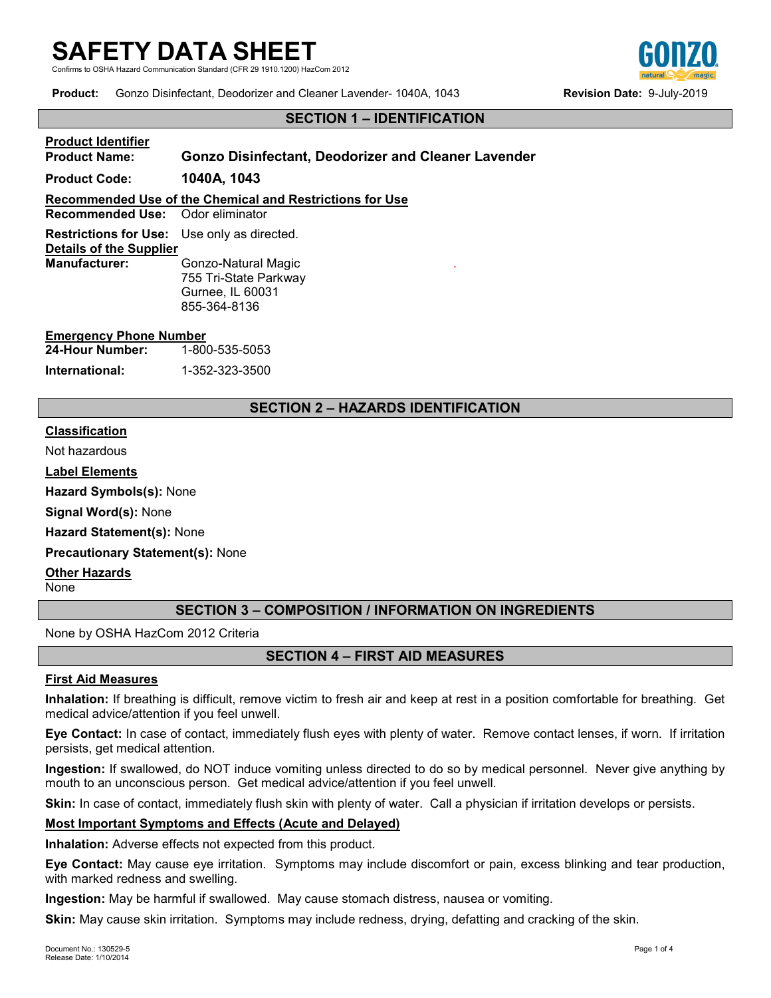# **SAFETY DATA SHEET**

Communication Standard (CFR 29 1910.1200) HazCom 2012

**Product:** Gonzo Disinfectant, Deodorizer and Cleaner Lavender- 1040A, 1043 **Revision Date:** 9-July-2019

# **SECTION 1 – IDENTIFICATION**

# **Product Identifier Product Name: Gonzo Disinfectant, Deodorizer and Cleaner Lavender**

**Product Code: 1040A, 1043**

**Recommended Use of the Chemical and Restrictions for Use**

**Recommended Use:** 

**Restrictions for Use:** Use only as directed. **Details of the Supplier Gonzo-Natural Magic** 755 Tri-State Parkway Gurnee, IL 60031 855-364-8136

### **Emergency Phone Number**

| 24-Hour Number: | 1-800-535-5053 |
|-----------------|----------------|
| International:  | 1-352-323-3500 |

## **SECTION 2 – HAZARDS IDENTIFICATION**

.

#### **Classification**

Not hazardous

**Label Elements**

**Hazard Symbols(s):** None

**Signal Word(s):** None

**Hazard Statement(s):** None

**Precautionary Statement(s):** None

**Other Hazards**

None

## **SECTION 3 – COMPOSITION / INFORMATION ON INGREDIENTS**

None by OSHA HazCom 2012 Criteria

## **SECTION 4 – FIRST AID MEASURES**

#### **First Aid Measures**

**Inhalation:** If breathing is difficult, remove victim to fresh air and keep at rest in a position comfortable for breathing. Get medical advice/attention if you feel unwell.

**Eye Contact:** In case of contact, immediately flush eyes with plenty of water. Remove contact lenses, if worn. If irritation persists, get medical attention.

**Ingestion:** If swallowed, do NOT induce vomiting unless directed to do so by medical personnel. Never give anything by mouth to an unconscious person. Get medical advice/attention if you feel unwell.

**Skin:** In case of contact, immediately flush skin with plenty of water. Call a physician if irritation develops or persists.

#### **Most Important Symptoms and Effects (Acute and Delayed)**

**Inhalation:** Adverse effects not expected from this product.

**Eye Contact:** May cause eye irritation. Symptoms may include discomfort or pain, excess blinking and tear production, with marked redness and swelling.

**Ingestion:** May be harmful if swallowed. May cause stomach distress, nausea or vomiting.

**Skin:** May cause skin irritation. Symptoms may include redness, drying, defatting and cracking of the skin.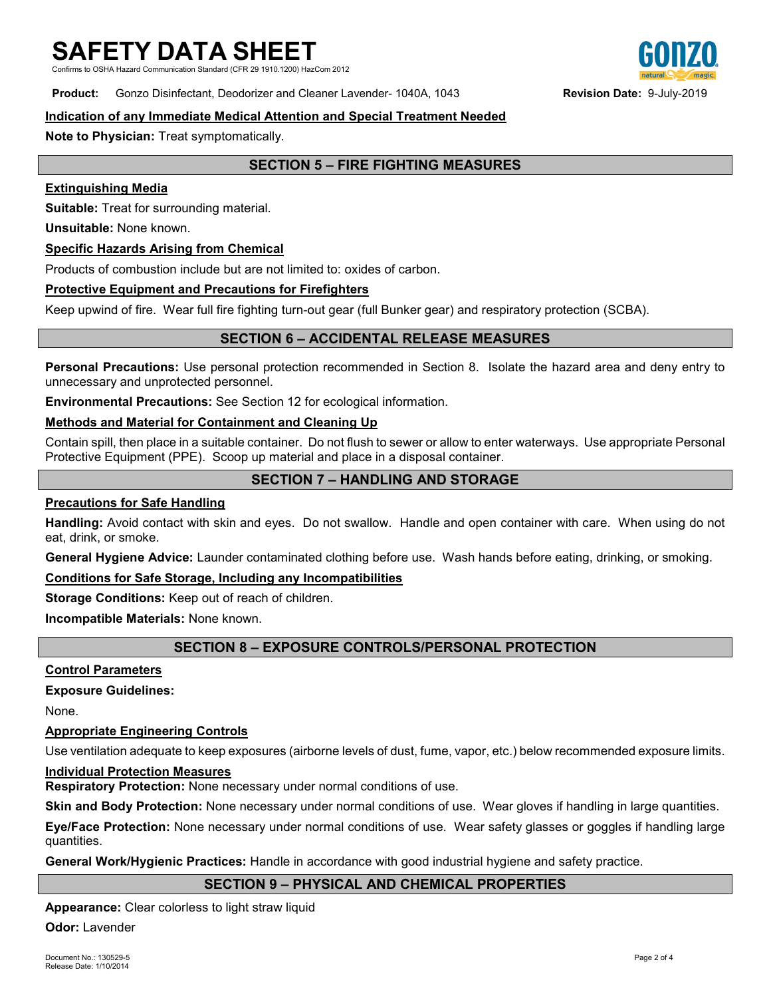Communication Standard (CFR 29 1910.1200) HazCom 2012

## **Product:** Gonzo Disinfectant, Deodorizer and Cleaner Lavender- 1040A, 1043 **Revision Date:** 9-July-2019

#### **Indication of any Immediate Medical Attention and Special Treatment Needed**

**Note to Physician:** Treat symptomatically.

## **SECTION 5 – FIRE FIGHTING MEASURES**

#### **Extinguishing Media**

**Suitable:** Treat for surrounding material.

**Unsuitable:** None known.

#### **Specific Hazards Arising from Chemical**

Products of combustion include but are not limited to: oxides of carbon.

#### **Protective Equipment and Precautions for Firefighters**

Keep upwind of fire. Wear full fire fighting turn-out gear (full Bunker gear) and respiratory protection (SCBA).

## **SECTION 6 – ACCIDENTAL RELEASE MEASURES**

**Personal Precautions:** Use personal protection recommended in Section 8. Isolate the hazard area and deny entry to unnecessary and unprotected personnel.

**Environmental Precautions:** See Section 12 for ecological information.

#### **Methods and Material for Containment and Cleaning Up**

Contain spill, then place in a suitable container. Do not flush to sewer or allow to enter waterways. Use appropriate Personal Protective Equipment (PPE). Scoop up material and place in a disposal container.

## **SECTION 7 – HANDLING AND STORAGE**

#### **Precautions for Safe Handling**

**Handling:** Avoid contact with skin and eyes. Do not swallow. Handle and open container with care. When using do not eat, drink, or smoke.

**General Hygiene Advice:** Launder contaminated clothing before use. Wash hands before eating, drinking, or smoking.

#### **Conditions for Safe Storage, Including any Incompatibilities**

**Storage Conditions:** Keep out of reach of children.

**Incompatible Materials:** None known.

## **SECTION 8 – EXPOSURE CONTROLS/PERSONAL PROTECTION**

#### **Control Parameters**

#### **Exposure Guidelines:**

None.

#### **Appropriate Engineering Controls**

Use ventilation adequate to keep exposures (airborne levels of dust, fume, vapor, etc.) below recommended exposure limits.

#### **Individual Protection Measures**

**Respiratory Protection:** None necessary under normal conditions of use.

**Skin and Body Protection:** None necessary under normal conditions of use. Wear gloves if handling in large quantities.

**Eye/Face Protection:** None necessary under normal conditions of use. Wear safety glasses or goggles if handling large quantities.

**General Work/Hygienic Practices:** Handle in accordance with good industrial hygiene and safety practice.

#### **SECTION 9 – PHYSICAL AND CHEMICAL PROPERTIES**

**Appearance:** Clear colorless to light straw liquid

**Odor:** Lavender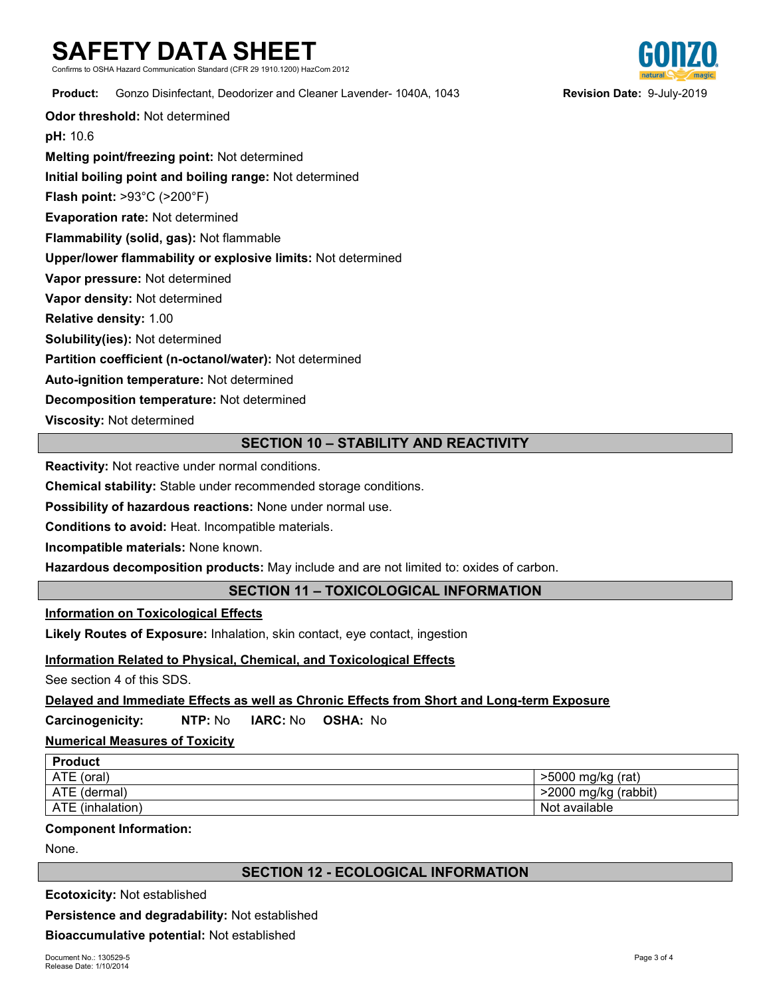# **SAFETY DATA SHEET**

Communication Standard (CFR 29 1910.1200) HazCom 2012

**Product:** Gonzo Disinfectant, Deodorizer and Cleaner Lavender- 1040A, 1043 **Revision Date:** 9-July-2019

**Odor threshold:** Not determined

**pH:** 10.6

**Melting point/freezing point:** Not determined

**Initial boiling point and boiling range:** Not determined

**Flash point:** >93°C (>200°F)

**Evaporation rate:** Not determined

**Flammability (solid, gas):** Not flammable

**Upper/lower flammability or explosive limits:** Not determined

**Vapor pressure:** Not determined

**Vapor density:** Not determined

**Relative density:** 1.00

**Solubility(ies):** Not determined

**Partition coefficient (n-octanol/water):** Not determined

**Auto-ignition temperature:** Not determined

**Decomposition temperature:** Not determined

**Viscosity:** Not determined

## **SECTION 10 – STABILITY AND REACTIVITY**

**Reactivity:** Not reactive under normal conditions.

**Chemical stability:** Stable under recommended storage conditions.

**Possibility of hazardous reactions:** None under normal use.

**Conditions to avoid:** Heat. Incompatible materials.

**Incompatible materials:** None known.

**Hazardous decomposition products:** May include and are not limited to: oxides of carbon.

## **SECTION 11 – TOXICOLOGICAL INFORMATION**

#### **Information on Toxicological Effects**

**Likely Routes of Exposure:** Inhalation, skin contact, eye contact, ingestion

## **Information Related to Physical, Chemical, and Toxicological Effects**

See section 4 of this SDS.

## **Delayed and Immediate Effects as well as Chronic Effects from Short and Long-term Exposure**

**Carcinogenicity: NTP:** No **IARC:** No **OSHA:** No

## **Numerical Measures of Toxicity**

| <b>Product</b>   |                      |
|------------------|----------------------|
| ATE (oral)       | >5000 mg/kg (rat)    |
| ATE (dermal)     | >2000 mg/kg (rabbit) |
| ATE (inhalation) | Not available        |

#### **Component Information:**

None.

## **SECTION 12 - ECOLOGICAL INFORMATION**

**Ecotoxicity:** Not established

**Persistence and degradability:** Not established

**Bioaccumulative potential:** Not established